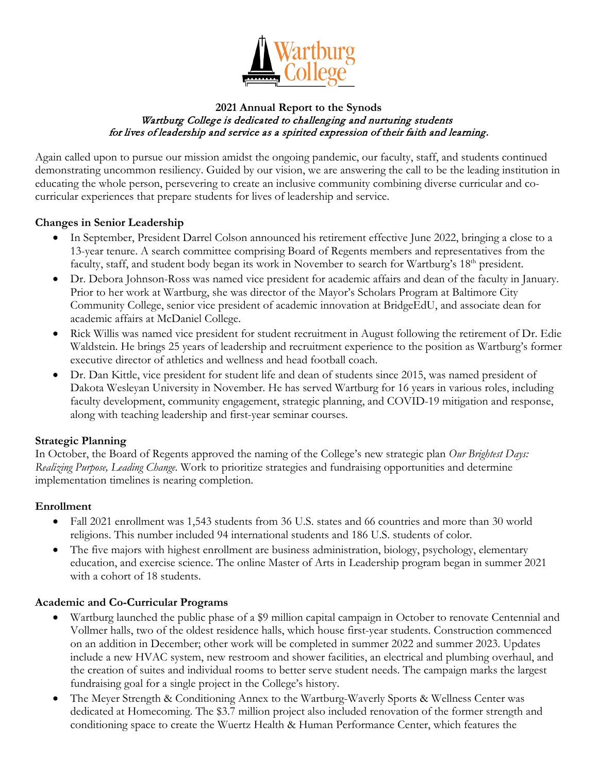

#### **2021 Annual Report to the Synods**  Wartburg College is dedicated to challenging and nurturing students for lives of leadership and service as a spirited expression of their faith and learning.

Again called upon to pursue our mission amidst the ongoing pandemic, our faculty, staff, and students continued demonstrating uncommon resiliency. Guided by our vision, we are answering the call to be the leading institution in educating the whole person, persevering to create an inclusive community combining diverse curricular and cocurricular experiences that prepare students for lives of leadership and service.

### **Changes in Senior Leadership**

- In September, President Darrel Colson announced his retirement effective June 2022, bringing a close to a 13-year tenure. A search committee comprising Board of Regents members and representatives from the faculty, staff, and student body began its work in November to search for Wartburg's  $18<sup>th</sup>$  president.
- Dr. Debora Johnson-Ross was named vice president for academic affairs and dean of the faculty in January. Prior to her work at Wartburg, she was director of the Mayor's Scholars Program at Baltimore City Community College, senior vice president of academic innovation at BridgeEdU, and associate dean for academic affairs at McDaniel College.
- Rick Willis was named vice president for student recruitment in August following the retirement of Dr. Edie Waldstein. He brings 25 years of leadership and recruitment experience to the position as Wartburg's former executive director of athletics and wellness and head football coach.
- Dr. Dan Kittle, vice president for student life and dean of students since 2015, was named president of Dakota Wesleyan University in November. He has served Wartburg for 16 years in various roles, including faculty development, community engagement, strategic planning, and COVID-19 mitigation and response, along with teaching leadership and first-year seminar courses.

## **Strategic Planning**

In October, the Board of Regents approved the naming of the College's new strategic plan *Our Brightest Days: Realizing Purpose, Leading Change.* Work to prioritize strategies and fundraising opportunities and determine implementation timelines is nearing completion.

#### **Enrollment**

- Fall 2021 enrollment was 1,543 students from 36 U.S. states and 66 countries and more than 30 world religions. This number included 94 international students and 186 U.S. students of color.
- The five majors with highest enrollment are business administration, biology, psychology, elementary education, and exercise science. The online Master of Arts in Leadership program began in summer 2021 with a cohort of 18 students.

#### **Academic and Co-Curricular Programs**

- Wartburg launched the public phase of a \$9 million capital campaign in October to renovate Centennial and Vollmer halls, two of the oldest residence halls, which house first-year students. Construction commenced on an addition in December; other work will be completed in summer 2022 and summer 2023. Updates include a new HVAC system, new restroom and shower facilities, an electrical and plumbing overhaul, and the creation of suites and individual rooms to better serve student needs. The campaign marks the largest fundraising goal for a single project in the College's history.
- The Meyer Strength & Conditioning Annex to the Wartburg-Waverly Sports & Wellness Center was dedicated at Homecoming. The \$3.7 million project also included renovation of the former strength and conditioning space to create the Wuertz Health & Human Performance Center, which features the